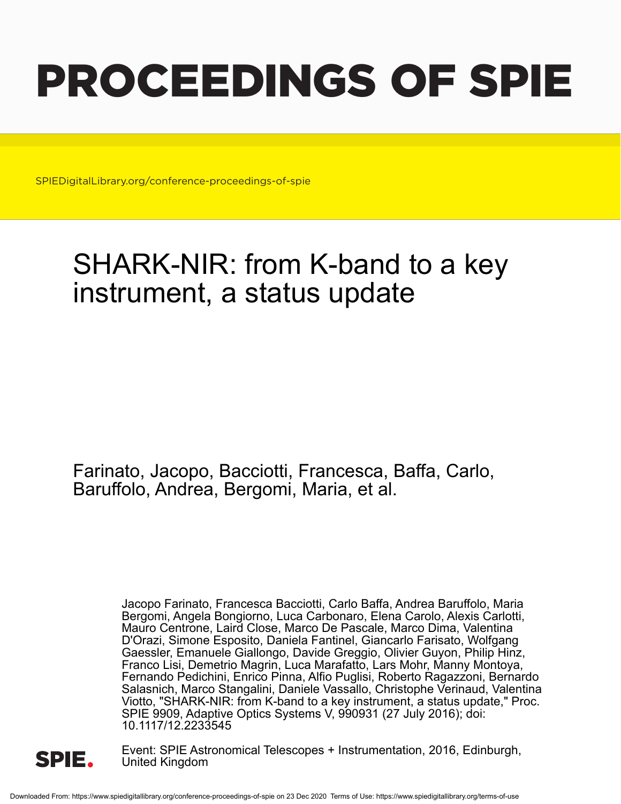# PROCEEDINGS OF SPIE

SPIEDigitalLibrary.org/conference-proceedings-of-spie

## SHARK-NIR: from K-band to a key instrument, a status update

Farinato, Jacopo, Bacciotti, Francesca, Baffa, Carlo, Baruffolo, Andrea, Bergomi, Maria, et al.

> Jacopo Farinato, Francesca Bacciotti, Carlo Baffa, Andrea Baruffolo, Maria Bergomi, Angela Bongiorno, Luca Carbonaro, Elena Carolo, Alexis Carlotti, Mauro Centrone, Laird Close, Marco De Pascale, Marco Dima, Valentina D'Orazi, Simone Esposito, Daniela Fantinel, Giancarlo Farisato, Wolfgang Gaessler, Emanuele Giallongo, Davide Greggio, Olivier Guyon, Philip Hinz, Franco Lisi, Demetrio Magrin, Luca Marafatto, Lars Mohr, Manny Montoya, Fernando Pedichini, Enrico Pinna, Alfio Puglisi, Roberto Ragazzoni, Bernardo Salasnich, Marco Stangalini, Daniele Vassallo, Christophe Verinaud, Valentina Viotto, "SHARK-NIR: from K-band to a key instrument, a status update," Proc. SPIE 9909, Adaptive Optics Systems V, 990931 (27 July 2016); doi: 10.1117/12.2233545



Event: SPIE Astronomical Telescopes + Instrumentation, 2016, Edinburgh, United Kingdom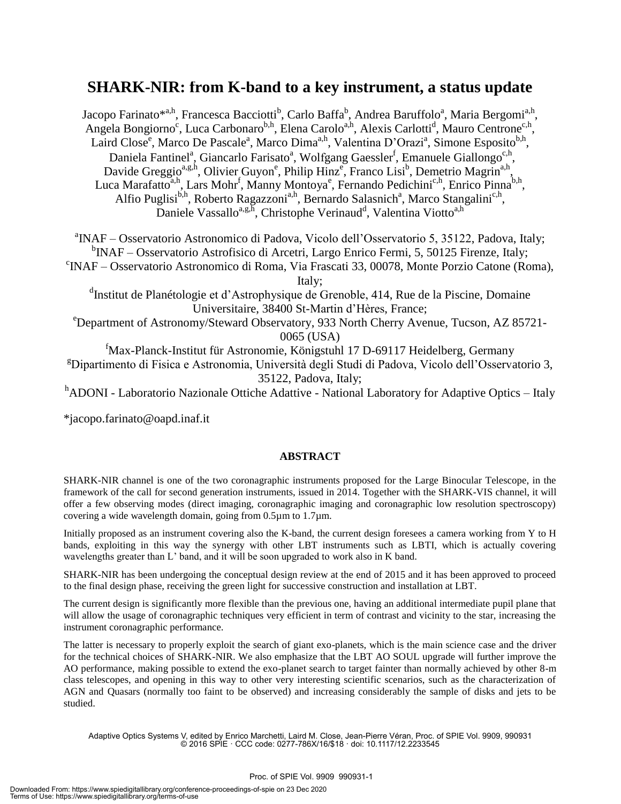### **SHARK-NIR: from K-band to a key instrument, a status update**

Jacopo Farinato\*<sup>a,h</sup>, Francesca Bacciotti<sup>b</sup>, Carlo Baffa<sup>b</sup>, Andrea Baruffolo<sup>a</sup>, Maria Bergomi<sup>a,h</sup>, Angela Bongiorno<sup>c</sup>, Luca Carbonaro<sup>b,h</sup>, Elena Carolo<sup>a,h</sup>, Alexis Carlotti<sup>d</sup>, Mauro Centrone<sup>c,h</sup>, Laird Close<sup>e</sup>, Marco De Pascale<sup>a</sup>, Marco Dima<sup>a,h</sup>, Valentina D'Orazi<sup>a</sup>, Simone Esposito<sup>b,h</sup>, Daniela Fantinel<sup>a</sup>, Giancarlo Farisato<sup>a</sup>, Wolfgang Gaessler<sup>f</sup>, Emanuele Giallongo<sup>c,h</sup>, Davide Greggio<sup>a,g,h</sup>, Olivier Guyon<sup>e</sup>, Philip Hinz<sup>e</sup>, Franco Lisi<sup>b</sup>, Demetrio Magrin<sup>a,h</sup>, Luca Marafatto<sup>a,h</sup>, Lars Mohr<sup>f</sup>, Manny Montoya<sup>e</sup>, Fernando Pedichini<sup>c,h</sup>, Enrico Pinna<sup>b,h</sup>, Alfio Puglisi<sup>b,h</sup>, Roberto Ragazzoni<sup>a,h</sup>, Bernardo Salasnich<sup>a</sup>, Marco Stangalini<sup>c,h</sup>, Daniele Vassallo<sup>a,g,h</sup>, Christophe Verinaud<sup>d</sup>, Valentina Viotto<sup>a,h</sup>

a INAF – Osservatorio Astronomico di Padova, Vicolo dell'Osservatorio 5, 35122, Padova, Italy; <sup>b</sup>INAF – Osservatorio Astrofisico di Arcetri, Largo Enrico Fermi, 5, 50125 Firenze, Italy; c INAF – Osservatorio Astronomico di Roma, Via Frascati 33, 00078, Monte Porzio Catone (Roma), Italy; <sup>d</sup>Institut de Planétologie et d'Astrophysique de Grenoble, 414, Rue de la Piscine, Domaine Universitaire, 38400 St-Martin d'Hères, France; <sup>e</sup>Department of Astronomy/Steward Observatory, 933 North Cherry Avenue, Tucson, AZ 85721-0065 (USA)

<sup>f</sup>Max-Planck-Institut für Astronomie, Königstuhl 17 D-69117 Heidelberg, Germany <sup>g</sup>Dipartimento di Fisica e Astronomia, Università degli Studi di Padova, Vicolo dell'Osservatorio 3, 35122, Padova, Italy;

<sup>h</sup>ADONI - Laboratorio Nazionale Ottiche Adattive - National Laboratory for Adaptive Optics – Italy

\*jacopo.farinato@oapd.inaf.it

#### **ABSTRACT**

SHARK-NIR channel is one of the two coronagraphic instruments proposed for the Large Binocular Telescope, in the framework of the call for second generation instruments, issued in 2014. Together with the SHARK-VIS channel, it will offer a few observing modes (direct imaging, coronagraphic imaging and coronagraphic low resolution spectroscopy) covering a wide wavelength domain, going from 0.5µm to 1.7µm.

Initially proposed as an instrument covering also the K-band, the current design foresees a camera working from Y to H bands, exploiting in this way the synergy with other LBT instruments such as LBTI, which is actually covering wavelengths greater than L' band, and it will be soon upgraded to work also in K band.

SHARK-NIR has been undergoing the conceptual design review at the end of 2015 and it has been approved to proceed to the final design phase, receiving the green light for successive construction and installation at LBT.

The current design is significantly more flexible than the previous one, having an additional intermediate pupil plane that will allow the usage of coronagraphic techniques very efficient in term of contrast and vicinity to the star, increasing the instrument coronagraphic performance.

The latter is necessary to properly exploit the search of giant exo-planets, which is the main science case and the driver for the technical choices of SHARK-NIR. We also emphasize that the LBT AO SOUL upgrade will further improve the AO performance, making possible to extend the exo-planet search to target fainter than normally achieved by other 8-m class telescopes, and opening in this way to other very interesting scientific scenarios, such as the characterization of AGN and Quasars (normally too faint to be observed) and increasing considerably the sample of disks and jets to be studied.

Adaptive Optics Systems V, edited by Enrico Marchetti, Laird M. Close, Jean-Pierre Véran, Proc. of SPIE Vol. 9909, 990931 © 2016 SPIE · CCC code: 0277-786X/16/\$18 · doi: 10.1117/12.2233545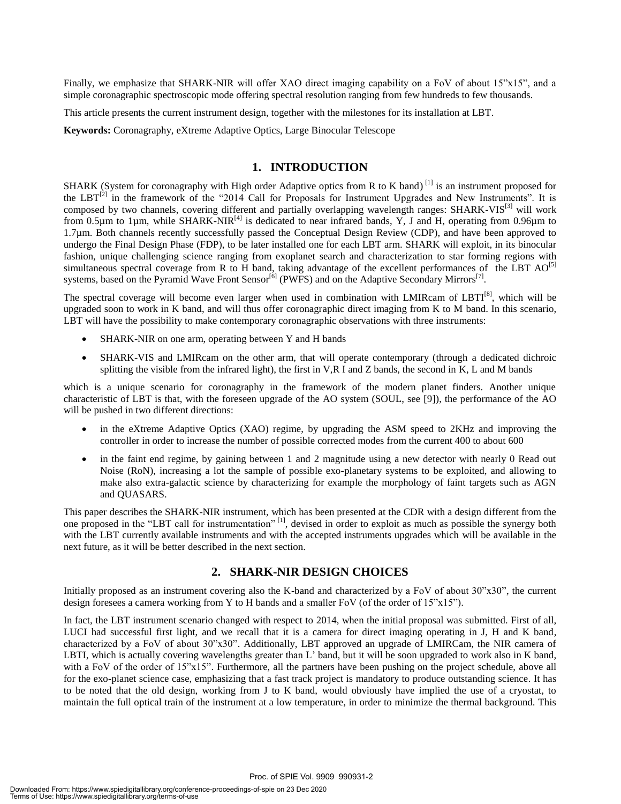Finally, we emphasize that SHARK-NIR will offer XAO direct imaging capability on a FoV of about 15"x15", and a simple coronagraphic spectroscopic mode offering spectral resolution ranging from few hundreds to few thousands.

This article presents the current instrument design, together with the milestones for its installation at LBT.

**Keywords:** Coronagraphy, eXtreme Adaptive Optics, Large Binocular Telescope

#### **1. INTRODUCTION**

SHARK (System for coronagraphy with High order Adaptive optics from R to K band)<sup>[1]</sup> is an instrument proposed for the LBT<sup> $[2]$ </sup> in the framework of the "2014 Call for Proposals for Instrument Upgrades and New Instruments". It is composed by two channels, covering different and partially overlapping wavelength ranges: SHARK-VIS<sup>[3]</sup> will work from 0.5 $\mu$ m to 1 $\mu$ m, while SHARK-NIR<sup>[4]</sup> is dedicated to near infrared bands, Y, J and H, operating from 0.96 $\mu$ m to 1.7µm. Both channels recently successfully passed the Conceptual Design Review (CDP), and have been approved to undergo the Final Design Phase (FDP), to be later installed one for each LBT arm. SHARK will exploit, in its binocular fashion, unique challenging science ranging from exoplanet search and characterization to star forming regions with simultaneous spectral coverage from R to H band, taking advantage of the excellent performances of the LBT  $AO^{[5]}$ systems, based on the Pyramid Wave Front Sensor<sup>[6]</sup> (PWFS) and on the Adaptive Secondary Mirrors<sup>[7]</sup>.

The spectral coverage will become even larger when used in combination with LMIRcam of LBTI<sup>[8]</sup>, which will be upgraded soon to work in K band, and will thus offer coronagraphic direct imaging from K to M band. In this scenario, LBT will have the possibility to make contemporary coronagraphic observations with three instruments:

- SHARK-NIR on one arm, operating between Y and H bands
- SHARK-VIS and LMIRcam on the other arm, that will operate contemporary (through a dedicated dichroic splitting the visible from the infrared light), the first in V,R I and Z bands, the second in K, L and M bands

which is a unique scenario for coronagraphy in the framework of the modern planet finders. Another unique characteristic of LBT is that, with the foreseen upgrade of the AO system (SOUL, see [9]), the performance of the AO will be pushed in two different directions:

- in the eXtreme Adaptive Optics (XAO) regime, by upgrading the ASM speed to 2KHz and improving the controller in order to increase the number of possible corrected modes from the current 400 to about 600
- in the faint end regime, by gaining between 1 and 2 magnitude using a new detector with nearly 0 Read out Noise (RoN), increasing a lot the sample of possible exo-planetary systems to be exploited, and allowing to make also extra-galactic science by characterizing for example the morphology of faint targets such as AGN and QUASARS.

This paper describes the SHARK-NIR instrument, which has been presented at the CDR with a design different from the one proposed in the "LBT call for instrumentation" [1], devised in order to exploit as much as possible the synergy both with the LBT currently available instruments and with the accepted instruments upgrades which will be available in the next future, as it will be better described in the next section.

#### **2. SHARK-NIR DESIGN CHOICES**

Initially proposed as an instrument covering also the K-band and characterized by a FoV of about 30"x30", the current design foresees a camera working from Y to H bands and a smaller FoV (of the order of 15"x15").

In fact, the LBT instrument scenario changed with respect to 2014, when the initial proposal was submitted. First of all, LUCI had successful first light, and we recall that it is a camera for direct imaging operating in J, H and K band, characterized by a FoV of about 30"x30". Additionally, LBT approved an upgrade of LMIRCam, the NIR camera of LBTI, which is actually covering wavelengths greater than L' band, but it will be soon upgraded to work also in K band, with a FoV of the order of 15"x15". Furthermore, all the partners have been pushing on the project schedule, above all for the exo-planet science case, emphasizing that a fast track project is mandatory to produce outstanding science. It has to be noted that the old design, working from J to K band, would obviously have implied the use of a cryostat, to maintain the full optical train of the instrument at a low temperature, in order to minimize the thermal background. This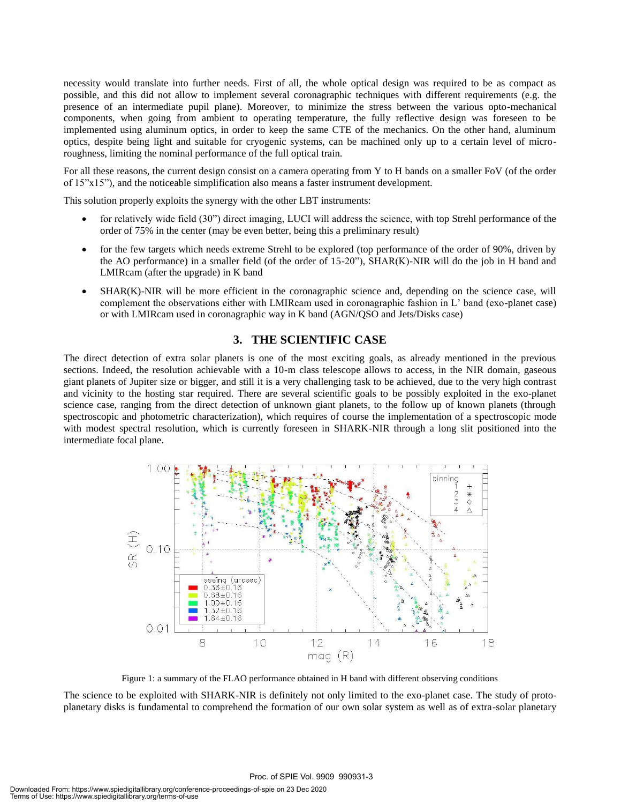necessity would translate into further needs. First of all, the whole optical design was required to be as compact as possible, and this did not allow to implement several coronagraphic techniques with different requirements (e.g. the presence of an intermediate pupil plane). Moreover, to minimize the stress between the various opto-mechanical components, when going from ambient to operating temperature, the fully reflective design was foreseen to be implemented using aluminum optics, in order to keep the same CTE of the mechanics. On the other hand, aluminum optics, despite being light and suitable for cryogenic systems, can be machined only up to a certain level of microroughness, limiting the nominal performance of the full optical train.

For all these reasons, the current design consist on a camera operating from Y to H bands on a smaller FoV (of the order of 15"x15"), and the noticeable simplification also means a faster instrument development.

This solution properly exploits the synergy with the other LBT instruments:

- for relatively wide field (30") direct imaging, LUCI will address the science, with top Strehl performance of the order of 75% in the center (may be even better, being this a preliminary result)
- for the few targets which needs extreme Strehl to be explored (top performance of the order of 90%, driven by the AO performance) in a smaller field (of the order of 15-20"), SHAR(K)-NIR will do the job in H band and LMIRcam (after the upgrade) in K band
- SHAR(K)-NIR will be more efficient in the coronagraphic science and, depending on the science case, will complement the observations either with LMIRcam used in coronagraphic fashion in L' band (exo-planet case) or with LMIRcam used in coronagraphic way in K band (AGN/QSO and Jets/Disks case)

#### **3. THE SCIENTIFIC CASE**

The direct detection of extra solar planets is one of the most exciting goals, as already mentioned in the previous sections. Indeed, the resolution achievable with a 10-m class telescope allows to access, in the NIR domain, gaseous giant planets of Jupiter size or bigger, and still it is a very challenging task to be achieved, due to the very high contrast and vicinity to the hosting star required. There are several scientific goals to be possibly exploited in the exo-planet science case, ranging from the direct detection of unknown giant planets, to the follow up of known planets (through spectroscopic and photometric characterization), which requires of course the implementation of a spectroscopic mode with modest spectral resolution, which is currently foreseen in SHARK-NIR through a long slit positioned into the intermediate focal plane.



Figure 1: a summary of the FLAO performance obtained in H band with different observing conditions

The science to be exploited with SHARK-NIR is definitely not only limited to the exo-planet case. The study of protoplanetary disks is fundamental to comprehend the formation of our own solar system as well as of extra-solar planetary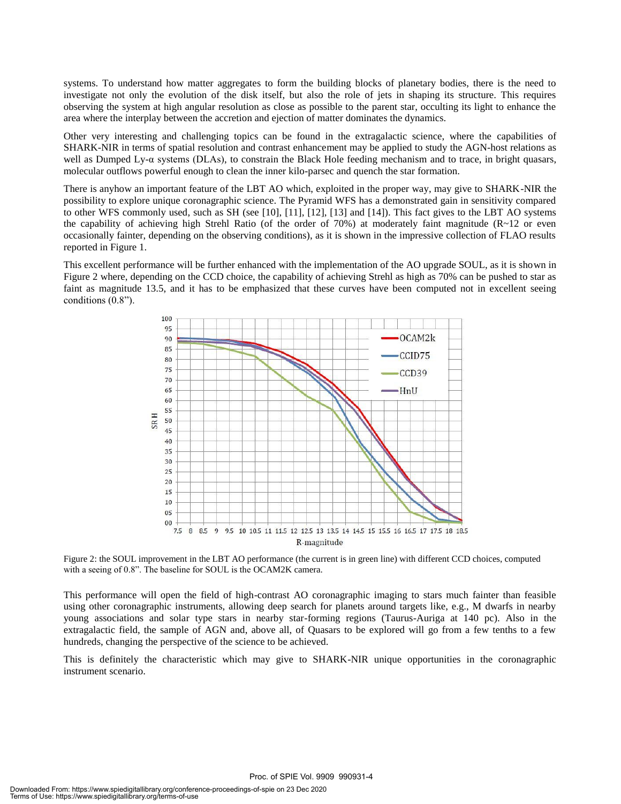systems. To understand how matter aggregates to form the building blocks of planetary bodies, there is the need to investigate not only the evolution of the disk itself, but also the role of jets in shaping its structure. This requires observing the system at high angular resolution as close as possible to the parent star, occulting its light to enhance the area where the interplay between the accretion and ejection of matter dominates the dynamics.

Other very interesting and challenging topics can be found in the extragalactic science, where the capabilities of SHARK-NIR in terms of spatial resolution and contrast enhancement may be applied to study the AGN-host relations as well as Dumped Ly-α systems (DLAs), to constrain the Black Hole feeding mechanism and to trace, in bright quasars, molecular outflows powerful enough to clean the inner kilo-parsec and quench the star formation.

There is anyhow an important feature of the LBT AO which, exploited in the proper way, may give to SHARK-NIR the possibility to explore unique coronagraphic science. The Pyramid WFS has a demonstrated gain in sensitivity compared to other WFS commonly used, such as SH (see [10], [11], [12], [13] and [14]). This fact gives to the LBT AO systems the capability of achieving high Strehl Ratio (of the order of 70%) at moderately faint magnitude  $(R~12$  or even occasionally fainter, depending on the observing conditions), as it is shown in the impressive collection of FLAO results reported in Figure 1.

This excellent performance will be further enhanced with the implementation of the AO upgrade SOUL, as it is shown in Figure 2 where, depending on the CCD choice, the capability of achieving Strehl as high as 70% can be pushed to star as faint as magnitude 13.5, and it has to be emphasized that these curves have been computed not in excellent seeing conditions (0.8").



Figure 2: the SOUL improvement in the LBT AO performance (the current is in green line) with different CCD choices, computed with a seeing of 0.8". The baseline for SOUL is the OCAM2K camera.

This performance will open the field of high-contrast AO coronagraphic imaging to stars much fainter than feasible using other coronagraphic instruments, allowing deep search for planets around targets like, e.g., M dwarfs in nearby young associations and solar type stars in nearby star-forming regions (Taurus-Auriga at 140 pc). Also in the extragalactic field, the sample of AGN and, above all, of Quasars to be explored will go from a few tenths to a few hundreds, changing the perspective of the science to be achieved.

This is definitely the characteristic which may give to SHARK-NIR unique opportunities in the coronagraphic instrument scenario.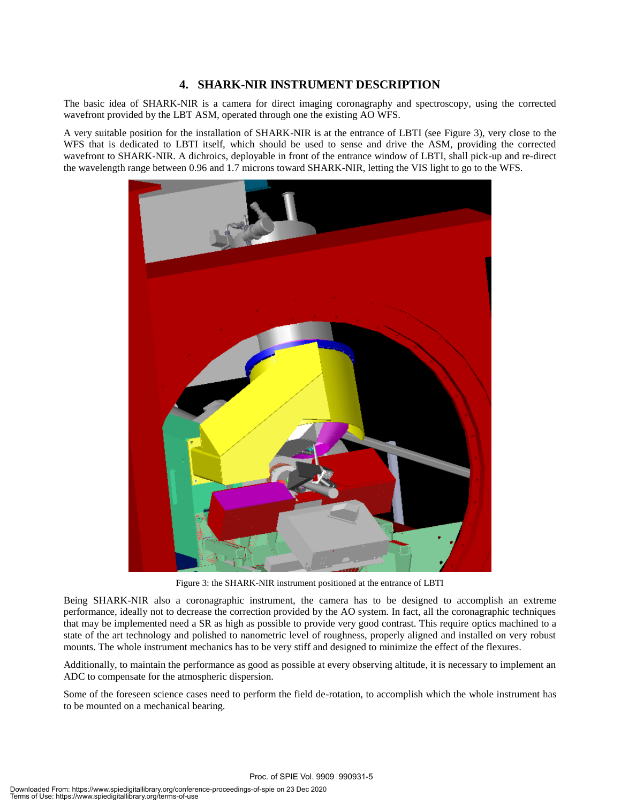#### **4. SHARK-NIR INSTRUMENT DESCRIPTION**

The basic idea of SHARK-NIR is a camera for direct imaging coronagraphy and spectroscopy, using the corrected wavefront provided by the LBT ASM, operated through one the existing AO WFS.

A very suitable position for the installation of SHARK-NIR is at the entrance of LBTI (see Figure 3), very close to the WFS that is dedicated to LBTI itself, which should be used to sense and drive the ASM, providing the corrected wavefront to SHARK-NIR. A dichroics, deployable in front of the entrance window of LBTI, shall pick-up and re-direct the wavelength range between 0.96 and 1.7 microns toward SHARK-NIR, letting the VIS light to go to the WFS.



Figure 3: the SHARK-NIR instrument positioned at the entrance of LBTI

Being SHARK-NIR also a coronagraphic instrument, the camera has to be designed to accomplish an extreme performance, ideally not to decrease the correction provided by the AO system. In fact, all the coronagraphic techniques that may be implemented need a SR as high as possible to provide very good contrast. This require optics machined to a state of the art technology and polished to nanometric level of roughness, properly aligned and installed on very robust mounts. The whole instrument mechanics has to be very stiff and designed to minimize the effect of the flexures.

Additionally, to maintain the performance as good as possible at every observing altitude, it is necessary to implement an ADC to compensate for the atmospheric dispersion.

Some of the foreseen science cases need to perform the field de-rotation, to accomplish which the whole instrument has to be mounted on a mechanical bearing.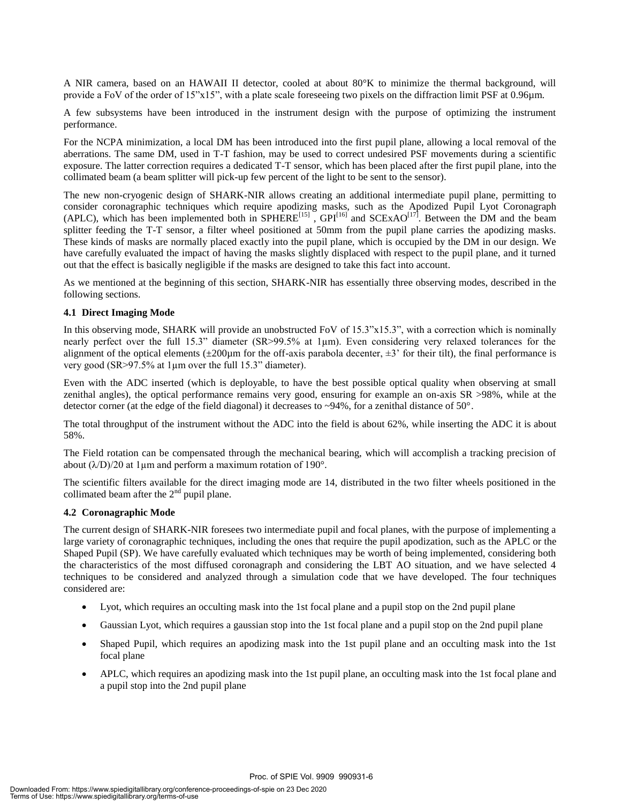A NIR camera, based on an HAWAII II detector, cooled at about 80°K to minimize the thermal background, will provide a FoV of the order of 15"x15", with a plate scale foreseeing two pixels on the diffraction limit PSF at 0.96µm.

A few subsystems have been introduced in the instrument design with the purpose of optimizing the instrument performance.

For the NCPA minimization, a local DM has been introduced into the first pupil plane, allowing a local removal of the aberrations. The same DM, used in T-T fashion, may be used to correct undesired PSF movements during a scientific exposure. The latter correction requires a dedicated T-T sensor, which has been placed after the first pupil plane, into the collimated beam (a beam splitter will pick-up few percent of the light to be sent to the sensor).

The new non-cryogenic design of SHARK-NIR allows creating an additional intermediate pupil plane, permitting to consider coronagraphic techniques which require apodizing masks, such as the Apodized Pupil Lyot Coronagraph (APLC), which has been implemented both in SPHERE<sup>[15]</sup>,  $GPI^{[16]}$  and SCExAO<sup>[17]</sup>. Between the DM and the beam splitter feeding the T-T sensor, a filter wheel positioned at 50mm from the pupil plane carries the apodizing masks. These kinds of masks are normally placed exactly into the pupil plane, which is occupied by the DM in our design. We have carefully evaluated the impact of having the masks slightly displaced with respect to the pupil plane, and it turned out that the effect is basically negligible if the masks are designed to take this fact into account.

As we mentioned at the beginning of this section, SHARK-NIR has essentially three observing modes, described in the following sections.

#### **4.1 Direct Imaging Mode**

In this observing mode, SHARK will provide an unobstructed FoV of 15.3"x15.3", with a correction which is nominally nearly perfect over the full 15.3" diameter (SR>99.5% at 1µm). Even considering very relaxed tolerances for the alignment of the optical elements  $(\pm 200\mu m)$  for the off-axis parabola decenter,  $\pm 3$ ' for their tilt), the final performance is very good (SR>97.5% at 1µm over the full 15.3" diameter).

Even with the ADC inserted (which is deployable, to have the best possible optical quality when observing at small zenithal angles), the optical performance remains very good, ensuring for example an on-axis SR >98%, while at the detector corner (at the edge of the field diagonal) it decreases to ~94%, for a zenithal distance of 50°.

The total throughput of the instrument without the ADC into the field is about 62%, while inserting the ADC it is about 58%.

The Field rotation can be compensated through the mechanical bearing, which will accomplish a tracking precision of about  $(\lambda/D)/20$  at 1 µm and perform a maximum rotation of 190 $^{\circ}$ .

The scientific filters available for the direct imaging mode are 14, distributed in the two filter wheels positioned in the collimated beam after the  $2<sup>nd</sup>$  pupil plane.

#### **4.2 Coronagraphic Mode**

The current design of SHARK-NIR foresees two intermediate pupil and focal planes, with the purpose of implementing a large variety of coronagraphic techniques, including the ones that require the pupil apodization, such as the APLC or the Shaped Pupil (SP). We have carefully evaluated which techniques may be worth of being implemented, considering both the characteristics of the most diffused coronagraph and considering the LBT AO situation, and we have selected 4 techniques to be considered and analyzed through a simulation code that we have developed. The four techniques considered are:

- Lyot, which requires an occulting mask into the 1st focal plane and a pupil stop on the 2nd pupil plane
- Gaussian Lyot, which requires a gaussian stop into the 1st focal plane and a pupil stop on the 2nd pupil plane
- Shaped Pupil, which requires an apodizing mask into the 1st pupil plane and an occulting mask into the 1st focal plane
- APLC, which requires an apodizing mask into the 1st pupil plane, an occulting mask into the 1st focal plane and a pupil stop into the 2nd pupil plane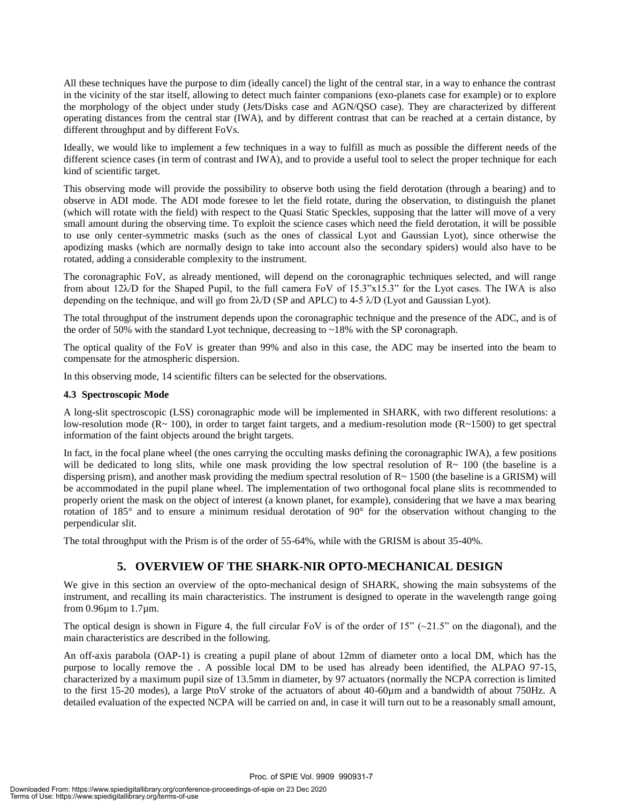All these techniques have the purpose to dim (ideally cancel) the light of the central star, in a way to enhance the contrast in the vicinity of the star itself, allowing to detect much fainter companions (exo-planets case for example) or to explore the morphology of the object under study (Jets/Disks case and AGN/QSO case). They are characterized by different operating distances from the central star (IWA), and by different contrast that can be reached at a certain distance, by different throughput and by different FoVs.

Ideally, we would like to implement a few techniques in a way to fulfill as much as possible the different needs of the different science cases (in term of contrast and IWA), and to provide a useful tool to select the proper technique for each kind of scientific target.

This observing mode will provide the possibility to observe both using the field derotation (through a bearing) and to observe in ADI mode. The ADI mode foresee to let the field rotate, during the observation, to distinguish the planet (which will rotate with the field) with respect to the Quasi Static Speckles, supposing that the latter will move of a very small amount during the observing time. To exploit the science cases which need the field derotation, it will be possible to use only center-symmetric masks (such as the ones of classical Lyot and Gaussian Lyot), since otherwise the apodizing masks (which are normally design to take into account also the secondary spiders) would also have to be rotated, adding a considerable complexity to the instrument.

The coronagraphic FoV, as already mentioned, will depend on the coronagraphic techniques selected, and will range from about 12 $\lambda$ D for the Shaped Pupil, to the full camera FoV of 15.3"x15.3" for the Lyot cases. The IWA is also depending on the technique, and will go from 2λ/D (SP and APLC) to 4-5 λ/D (Lyot and Gaussian Lyot).

The total throughput of the instrument depends upon the coronagraphic technique and the presence of the ADC, and is of the order of 50% with the standard Lyot technique, decreasing to ~18% with the SP coronagraph.

The optical quality of the FoV is greater than 99% and also in this case, the ADC may be inserted into the beam to compensate for the atmospheric dispersion.

In this observing mode, 14 scientific filters can be selected for the observations.

#### **4.3 Spectroscopic Mode**

A long-slit spectroscopic (LSS) coronagraphic mode will be implemented in SHARK, with two different resolutions: a low-resolution mode  $(R \sim 100)$ , in order to target faint targets, and a medium-resolution mode  $(R \sim 1500)$  to get spectral information of the faint objects around the bright targets.

In fact, in the focal plane wheel (the ones carrying the occulting masks defining the coronagraphic IWA), a few positions will be dedicated to long slits, while one mask providing the low spectral resolution of  $R \sim 100$  (the baseline is a dispersing prism), and another mask providing the medium spectral resolution of R~ 1500 (the baseline is a GRISM) will be accommodated in the pupil plane wheel. The implementation of two orthogonal focal plane slits is recommended to properly orient the mask on the object of interest (a known planet, for example), considering that we have a max bearing rotation of 185° and to ensure a minimum residual derotation of 90° for the observation without changing to the perpendicular slit.

The total throughput with the Prism is of the order of 55-64%, while with the GRISM is about 35-40%.

#### **5. OVERVIEW OF THE SHARK-NIR OPTO-MECHANICAL DESIGN**

We give in this section an overview of the opto-mechanical design of SHARK, showing the main subsystems of the instrument, and recalling its main characteristics. The instrument is designed to operate in the wavelength range going from 0.96µm to 1.7µm.

The optical design is shown in Figure 4, the full circular FoV is of the order of 15" ( $\sim$ 21.5" on the diagonal), and the main characteristics are described in the following.

An off-axis parabola (OAP-1) is creating a pupil plane of about 12mm of diameter onto a local DM, which has the purpose to locally remove the . A possible local DM to be used has already been identified, the ALPAO 97-15, characterized by a maximum pupil size of 13.5mm in diameter, by 97 actuators (normally the NCPA correction is limited to the first 15-20 modes), a large PtoV stroke of the actuators of about 40-60µm and a bandwidth of about 750Hz. A detailed evaluation of the expected NCPA will be carried on and, in case it will turn out to be a reasonably small amount,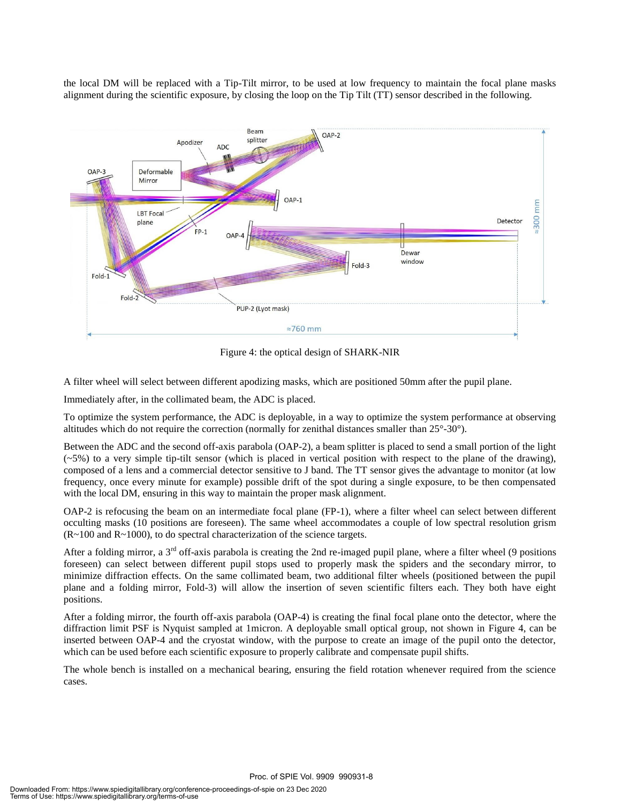the local DM will be replaced with a Tip-Tilt mirror, to be used at low frequency to maintain the focal plane masks alignment during the scientific exposure, by closing the loop on the Tip Tilt (TT) sensor described in the following.



Figure 4: the optical design of SHARK-NIR

A filter wheel will select between different apodizing masks, which are positioned 50mm after the pupil plane.

Immediately after, in the collimated beam, the ADC is placed.

To optimize the system performance, the ADC is deployable, in a way to optimize the system performance at observing altitudes which do not require the correction (normally for zenithal distances smaller than 25°-30°).

Between the ADC and the second off-axis parabola (OAP-2), a beam splitter is placed to send a small portion of the light (~5%) to a very simple tip-tilt sensor (which is placed in vertical position with respect to the plane of the drawing), composed of a lens and a commercial detector sensitive to J band. The TT sensor gives the advantage to monitor (at low frequency, once every minute for example) possible drift of the spot during a single exposure, to be then compensated with the local DM, ensuring in this way to maintain the proper mask alignment.

OAP-2 is refocusing the beam on an intermediate focal plane (FP-1), where a filter wheel can select between different occulting masks (10 positions are foreseen). The same wheel accommodates a couple of low spectral resolution grism (R~100 and R~1000), to do spectral characterization of the science targets.

After a folding mirror, a 3<sup>rd</sup> off-axis parabola is creating the 2nd re-imaged pupil plane, where a filter wheel (9 positions foreseen) can select between different pupil stops used to properly mask the spiders and the secondary mirror, to minimize diffraction effects. On the same collimated beam, two additional filter wheels (positioned between the pupil plane and a folding mirror, Fold-3) will allow the insertion of seven scientific filters each. They both have eight positions.

After a folding mirror, the fourth off-axis parabola (OAP-4) is creating the final focal plane onto the detector, where the diffraction limit PSF is Nyquist sampled at 1micron. A deployable small optical group, not shown in Figure 4, can be inserted between OAP-4 and the cryostat window, with the purpose to create an image of the pupil onto the detector, which can be used before each scientific exposure to properly calibrate and compensate pupil shifts.

The whole bench is installed on a mechanical bearing, ensuring the field rotation whenever required from the science cases.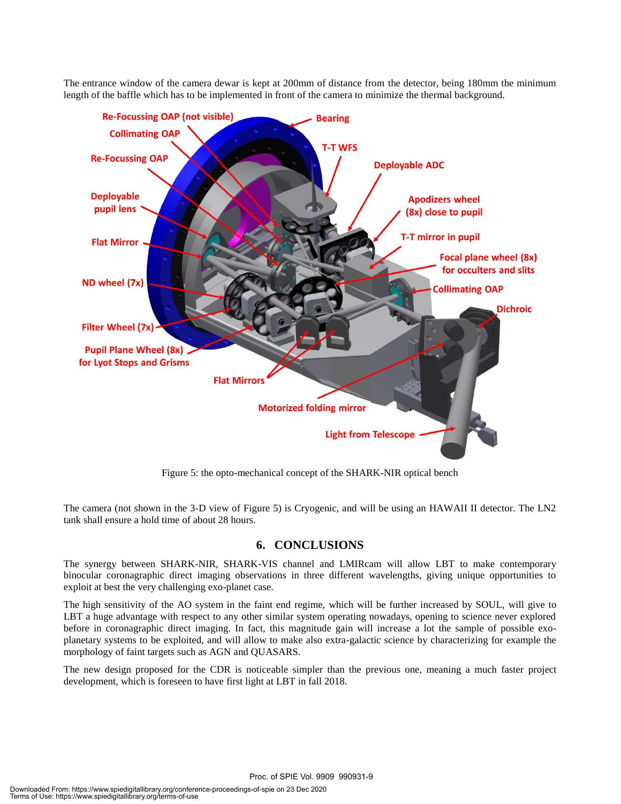The entrance window of the camera dewar is kept at 200mm of distance from the detector, being 180mm the minimum length of the baffle which has to be implemented in front of the camera to minimize the thermal background.



Figure 5: the opto-mechanical concept of the SHARK-NIR optical bench

The camera (not shown in the 3-D view of Figure 5) is Cryogenic, and will be using an HAWAII II detector. The LN2 tank shall ensure a hold time of about 28 hours.

#### **6. CONCLUSIONS**

The synergy between SHARK-NIR, SHARK-VIS channel and LMIRcam will allow LBT to make contemporary binocular coronagraphic direct imaging observations in three different wavelengths, giving unique opportunities to exploit at best the very challenging exo-planet case.

The high sensitivity of the AO system in the faint end regime, which will be further increased by SOUL, will give to LBT a huge advantage with respect to any other similar system operating nowadays, opening to science never explored before in coronagraphic direct imaging. In fact, this magnitude gain will increase a lot the sample of possible exoplanetary systems to be exploited, and will allow to make also extra-galactic science by characterizing for example the morphology of faint targets such as AGN and QUASARS.

The new design proposed for the CDR is noticeable simpler than the previous one, meaning a much faster project development, which is foreseen to have first light at LBT in fall 2018.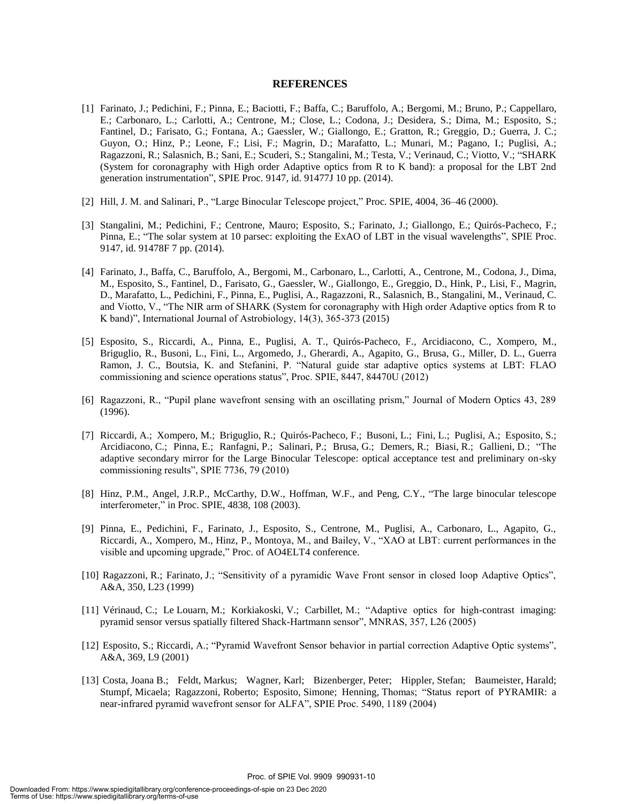#### **REFERENCES**

- [1] Farinato, J.; Pedichini, F.; Pinna, E.; Baciotti, F.; Baffa, C.; Baruffolo, A.; Bergomi, M.; Bruno, P.; Cappellaro, E.; Carbonaro, L.; Carlotti, A.; Centrone, M.; Close, L.; Codona, J.; Desidera, S.; Dima, M.; Esposito, S.; Fantinel, D.; Farisato, G.; Fontana, A.; Gaessler, W.; Giallongo, E.; Gratton, R.; Greggio, D.; Guerra, J. C.; Guyon, O.; Hinz, P.; Leone, F.; Lisi, F.; Magrin, D.; Marafatto, L.; Munari, M.; Pagano, I.; Puglisi, A.; Ragazzoni, R.; Salasnich, B.; Sani, E.; Scuderi, S.; Stangalini, M.; Testa, V.; Verinaud, C.; Viotto, V.; "SHARK (System for coronagraphy with High order Adaptive optics from R to K band): a proposal for the LBT 2nd generation instrumentation", SPIE Proc. 9147, id. 91477J 10 pp. (2014).
- [2] Hill, J. M. and Salinari, P., "Large Binocular Telescope project," Proc. SPIE, 4004, 36–46 (2000).
- [3] Stangalini, M.; Pedichini, F.; Centrone, Mauro; Esposito, S.; Farinato, J.; Giallongo, E.; Quirós-Pacheco, F.; Pinna, E.; "The solar system at 10 parsec: exploiting the ExAO of LBT in the visual wavelengths", SPIE Proc. 9147, id. 91478F 7 pp. (2014).
- [4] Farinato, J., Baffa, C., Baruffolo, A., Bergomi, M., Carbonaro, L., Carlotti, A., Centrone, M., Codona, J., Dima, M., Esposito, S., Fantinel, D., Farisato, G., Gaessler, W., Giallongo, E., Greggio, D., Hink, P., Lisi, F., Magrin, D., Marafatto, L., Pedichini, F., Pinna, E., Puglisi, A., Ragazzoni, R., Salasnich, B., Stangalini, M., Verinaud, C. and Viotto, V., "The NIR arm of SHARK (System for coronagraphy with High order Adaptive optics from R to K band)", International Journal of Astrobiology, 14(3), 365-373 (2015)
- [5] Esposito, S., Riccardi, A., Pinna, E., Puglisi, A. T., Quirós-Pacheco, F., Arcidiacono, C., Xompero, M., Briguglio, R., Busoni, L., Fini, L., Argomedo, J., Gherardi, A., Agapito, G., Brusa, G., Miller, D. L., Guerra Ramon, J. C., Boutsia, K. and Stefanini, P. "Natural guide star adaptive optics systems at LBT: FLAO commissioning and science operations status", Proc. SPIE, 8447, 84470U (2012)
- [6] Ragazzoni, R., "Pupil plane wavefront sensing with an oscillating prism," Journal of Modern Optics 43, 289 (1996).
- [7] Riccardi, A.; Xompero, M.; Briguglio, R.; Quirós-Pacheco, F.; Busoni, L.; Fini, L.; Puglisi, A.; Esposito, S.; Arcidiacono, C.; Pinna, E.; Ranfagni, P.; Salinari, P.; Brusa, G.; Demers, R.; Biasi, R.; Gallieni, D.; "The adaptive secondary mirror for the Large Binocular Telescope: optical acceptance test and preliminary on-sky commissioning results", SPIE 7736, 79 (2010)
- [8] Hinz, P.M., Angel, J.R.P., McCarthy, D.W., Hoffman, W.F., and Peng, C.Y., "The large binocular telescope interferometer," in Proc. SPIE, 4838, 108 (2003).
- [9] Pinna, E., Pedichini, F., Farinato, J., Esposito, S., Centrone, M., Puglisi, A., Carbonaro, L., Agapito, G., Riccardi, A., Xompero, M., Hinz, P., Montoya, M., and Bailey, V., "XAO at LBT: current performances in the visible and upcoming upgrade," Proc. of AO4ELT4 conference.
- [10] Ragazzoni, R.; Farinato, J.; "Sensitivity of a pyramidic Wave Front sensor in closed loop Adaptive Optics", A&A, 350, L23 (1999)
- [11] Vérinaud, C.; Le Louarn, M.; Korkiakoski, V.; Carbillet, M.; "Adaptive optics for high-contrast imaging: pyramid sensor versus spatially filtered Shack-Hartmann sensor", MNRAS, 357, L26 (2005)
- [12] Esposito, S.; Riccardi, A.; "Pyramid Wavefront Sensor behavior in partial correction Adaptive Optic systems", A&A, 369, L9 (2001)
- [13] Costa, Joana B.; Feldt, Markus; Wagner, Karl; Bizenberger, Peter; Hippler, Stefan; Baumeister, Harald; Stumpf, Micaela; Ragazzoni, Roberto; Esposito, Simone; Henning, Thomas; "Status report of PYRAMIR: a near-infrared pyramid wavefront sensor for ALFA", SPIE Proc. 5490, 1189 (2004)